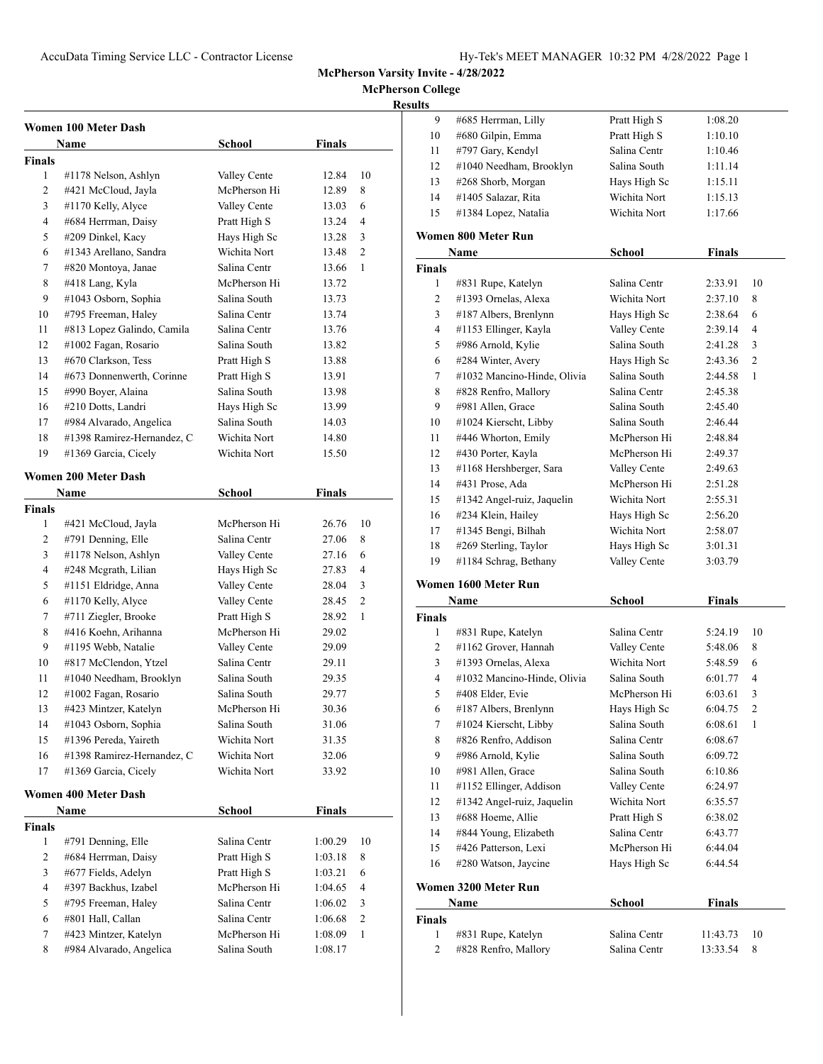**McPherson College**

## **Results**

|               | Women 100 Meter Dash                         |                              |                |        |
|---------------|----------------------------------------------|------------------------------|----------------|--------|
|               | Name                                         | School                       | Finals         |        |
| Finals        |                                              |                              |                |        |
| 1             | #1178 Nelson, Ashlyn                         | Valley Cente                 | 12.84          | 10     |
| 2             | #421 McCloud, Jayla                          | McPherson Hi                 | 12.89          | 8      |
| 3             | #1170 Kelly, Alyce                           | Valley Cente                 | 13.03          | 6      |
| 4             | #684 Herrman, Daisy                          | Pratt High S                 | 13.24          | 4      |
| 5             | #209 Dinkel, Kacy                            | Hays High Sc                 | 13.28          | 3      |
| 6             | #1343 Arellano, Sandra                       | Wichita Nort                 | 13.48          | 2      |
| 7             | #820 Montoya, Janae                          | Salina Centr                 | 13.66          | 1      |
| 8             | #418 Lang, Kyla                              | McPherson Hi                 | 13.72          |        |
| 9             | #1043 Osborn, Sophia                         | Salina South                 | 13.73          |        |
| 10            | #795 Freeman, Haley                          | Salina Centr                 | 13.74          |        |
| 11            | #813 Lopez Galindo, Camila                   | Salina Centr                 | 13.76          |        |
| 12            | #1002 Fagan, Rosario                         | Salina South                 | 13.82          |        |
| 13            | #670 Clarkson, Tess                          | Pratt High S                 | 13.88          |        |
| 14            | #673 Donnenwerth, Corinne                    | Pratt High S                 | 13.91          |        |
| 15            | #990 Boyer, Alaina                           | Salina South                 | 13.98          |        |
| 16            | #210 Dotts, Landri                           | Hays High Sc                 | 13.99          |        |
| 17            | #984 Alvarado, Angelica                      | Salina South                 | 14.03          |        |
| 18            | #1398 Ramirez-Hernandez, C                   | Wichita Nort                 | 14.80          |        |
| 19            | #1369 Garcia, Cicely                         | Wichita Nort                 | 15.50          |        |
|               |                                              |                              |                |        |
|               | <b>Women 200 Meter Dash</b>                  |                              |                |        |
|               | Name                                         | <b>School</b>                | <b>Finals</b>  |        |
| <b>Finals</b> |                                              | McPherson Hi                 |                |        |
| 1             | #421 McCloud, Jayla                          |                              | 26.76          | 10     |
| 2             | #791 Denning, Elle                           | Salina Centr                 | 27.06          | 8      |
| 3<br>4        | #1178 Nelson, Ashlyn                         | Valley Cente                 | 27.16          | 6      |
|               | #248 Mcgrath, Lilian                         | Hays High Sc                 | 27.83          | 4      |
| 5<br>6        | #1151 Eldridge, Anna                         | Valley Cente                 | 28.04          | 3<br>2 |
| 7             | #1170 Kelly, Alyce                           | Valley Cente                 | 28.45          | 1      |
| 8             | #711 Ziegler, Brooke<br>#416 Koehn, Arihanna | Pratt High S<br>McPherson Hi | 28.92          |        |
| 9             | #1195 Webb, Natalie                          | Valley Cente                 | 29.02<br>29.09 |        |
| 10            | #817 McClendon, Ytzel                        | Salina Centr                 | 29.11          |        |
| 11            | #1040 Needham, Brooklyn                      | Salina South                 | 29.35          |        |
| 12            | #1002 Fagan, Rosario                         | Salina South                 | 29.77          |        |
| 13            | #423 Mintzer, Katelyn                        | McPherson Hi                 | 30.36          |        |
| 14            | #1043 Osborn, Sophia                         | Salina South                 | 31.06          |        |
| 15            | #1396 Pereda, Yaireth                        | Wichita Nort                 | 31.35          |        |
| 16            | #1398 Ramirez-Hernandez, C                   | Wichita Nort                 | 32.06          |        |
| 17            | #1369 Garcia, Cicely                         | Wichita Nort                 | 33.92          |        |
|               |                                              |                              |                |        |
|               | Women 400 Meter Dash                         |                              |                |        |
|               | Name                                         | <b>School</b>                | <b>Finals</b>  |        |
| Finals        |                                              |                              |                |        |
| 1             | #791 Denning, Elle                           | Salina Centr                 | 1:00.29        | 10     |
| 2             | #684 Herrman, Daisy                          | Pratt High S                 | 1:03.18        | 8      |
| 3             | #677 Fields, Adelyn                          | Pratt High S                 | 1:03.21        | 6      |
| 4             | #397 Backhus, Izabel                         | McPherson Hi                 | 1:04.65        | 4      |
| 5             | #795 Freeman, Haley                          | Salina Centr                 | 1:06.02        | 3      |
| 6             | #801 Hall, Callan                            | Salina Centr                 | 1:06.68        | 2      |
| 7             | #423 Mintzer, Katelyn                        | McPherson Hi                 | 1:08.09        | 1      |
| 8             | #984 Alvarado, Angelica                      | Salina South                 | 1:08.17        |        |

| 9             | #685 Herrman, Lilly                          | Pratt High S                 | 1:08.20       |    |
|---------------|----------------------------------------------|------------------------------|---------------|----|
| 10            | #680 Gilpin, Emma                            | Pratt High S                 | 1:10.10       |    |
| 11            | #797 Gary, Kendyl                            | Salina Centr                 | 1:10.46       |    |
| 12            | #1040 Needham, Brooklyn                      | Salina South                 | 1:11.14       |    |
| 13            | #268 Shorb, Morgan                           | Hays High Sc                 | 1:15.11       |    |
| 14            | #1405 Salazar, Rita                          | Wichita Nort                 | 1:15.13       |    |
| 15            | #1384 Lopez, Natalia                         | Wichita Nort                 | 1:17.66       |    |
|               |                                              |                              |               |    |
|               | Women 800 Meter Run                          |                              |               |    |
|               | Name                                         | <b>School</b>                | <b>Finals</b> |    |
| Finals        |                                              |                              |               |    |
| 1             | #831 Rupe, Katelyn                           | Salina Centr                 | 2:33.91       | 10 |
| 2             | #1393 Ornelas, Alexa                         | Wichita Nort                 | 2:37.10       | 8  |
| 3             | #187 Albers, Brenlynn                        | Hays High Sc                 | 2:38.64       | 6  |
| 4             | #1153 Ellinger, Kayla                        | Valley Cente                 | 2:39.14       | 4  |
| 5             | #986 Arnold, Kylie                           | Salina South                 | 2:41.28       | 3  |
| 6             | #284 Winter, Avery                           | Hays High Sc                 | 2:43.36       | 2  |
| 7             | #1032 Mancino-Hinde, Olivia                  | Salina South                 | 2:44.58       | 1  |
| 8             | #828 Renfro, Mallory                         | Salina Centr                 | 2:45.38       |    |
| 9             | #981 Allen, Grace                            | Salina South                 | 2:45.40       |    |
| 10            | #1024 Kierscht, Libby                        | Salina South                 | 2:46.44       |    |
| 11            | #446 Whorton, Emily                          | McPherson Hi                 | 2:48.84       |    |
| 12            | #430 Porter, Kayla                           | McPherson Hi                 | 2:49.37       |    |
| 13            | #1168 Hershberger, Sara                      | Valley Cente                 | 2:49.63       |    |
| 14            | #431 Prose, Ada                              | McPherson Hi                 | 2:51.28       |    |
| 15            | #1342 Angel-ruiz, Jaquelin                   | Wichita Nort                 | 2:55.31       |    |
| 16            | #234 Klein, Hailey                           | Hays High Sc                 | 2:56.20       |    |
| 17            | #1345 Bengi, Bilhah                          | Wichita Nort                 | 2:58.07       |    |
| 18            | #269 Sterling, Taylor                        | Hays High Sc                 | 3:01.31       |    |
| 19            | #1184 Schrag, Bethany                        | Valley Cente                 | 3:03.79       |    |
|               | Women 1600 Meter Run                         |                              |               |    |
|               | Name                                         | <b>School</b>                | <b>Finals</b> |    |
| <b>Finals</b> |                                              |                              |               |    |
| 1             | #831 Rupe, Katelyn                           | Salina Centr                 | 5:24.19       | 10 |
| 2             | #1162 Grover, Hannah                         | Valley Cente                 | 5:48.06       | 8  |
| 3             | #1393 Ornelas, Alexa                         | Wichita Nort                 | 5:48.59       | 6  |
| 4             | #1032 Mancino-Hinde, Olivia                  | Salina South                 | 6:01.77       | 4  |
| 5             | #408 Elder, Evie                             | McPherson Hi                 | 6:03.61       | 3  |
| 6             | #187 Albers, Brenlynn                        | Hays High Sc                 | 6:04.75       | 2  |
| 7             | #1024 Kierscht, Libby                        | Salina South                 | 6:08.61       | 1  |
| 8             | #826 Renfro, Addison                         | Salina Centr                 | 6:08.67       |    |
| 9             | #986 Arnold, Kylie                           | Salina South                 | 6:09.72       |    |
|               |                                              |                              |               |    |
| 10            | #981 Allen, Grace<br>#1152 Ellinger, Addison | Salina South<br>Valley Cente | 6:10.86       |    |
| 11            |                                              |                              | 6:24.97       |    |
| 12            | #1342 Angel-ruiz, Jaquelin                   | Wichita Nort                 | 6:35.57       |    |
| 13            | #688 Hoeme, Allie                            | Pratt High S                 | 6:38.02       |    |
| 14            | #844 Young, Elizabeth                        | Salina Centr<br>McPherson Hi | 6:43.77       |    |
| 15            | #426 Patterson, Lexi                         |                              | 6:44.04       |    |
| 16            | #280 Watson, Jaycine                         | Hays High Sc                 | 6:44.54       |    |

# **Women 3200 Meter Run**

|        | Name                 | School       | <b>Finals</b>   |  |
|--------|----------------------|--------------|-----------------|--|
| Finals |                      |              |                 |  |
|        | #831 Rupe, Katelyn   | Salina Centr | 11:43.73<br>-10 |  |
|        | #828 Renfro, Mallory | Salina Centr | 13:33.54<br>-8  |  |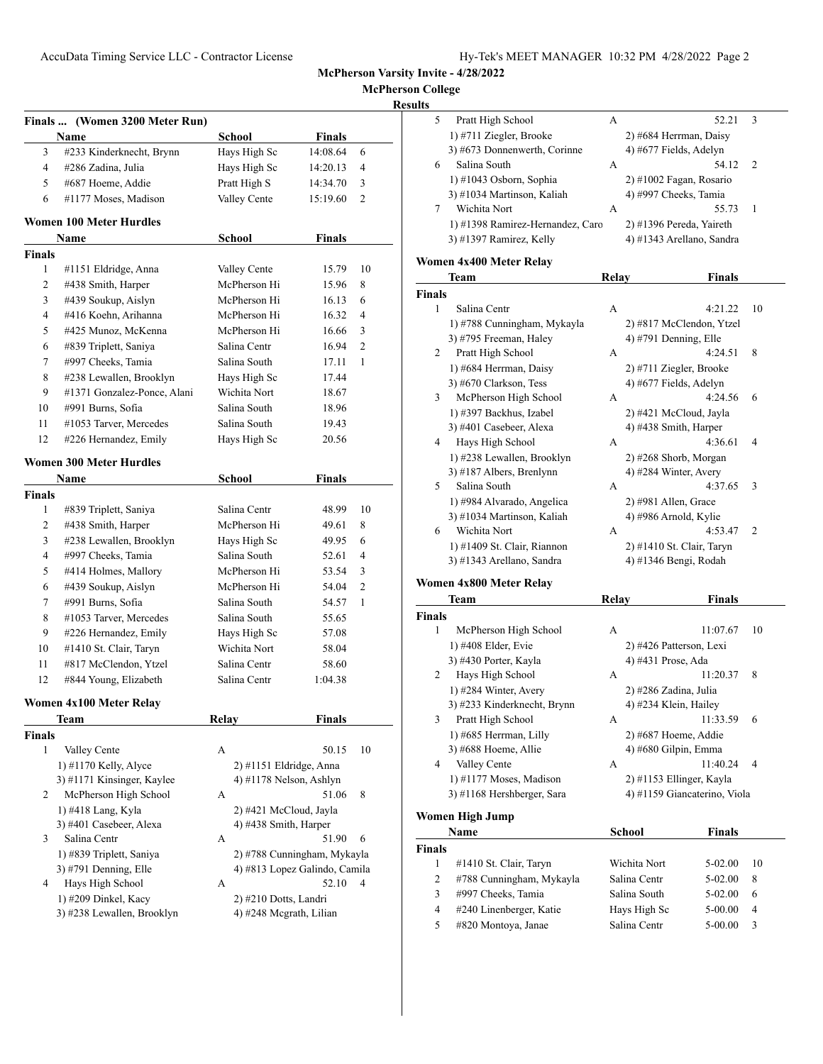**McPherson College**

| Results |
|---------|
|         |

|                | Finals  (Women 3200 Meter Run)                      |                               |                             |                |
|----------------|-----------------------------------------------------|-------------------------------|-----------------------------|----------------|
|                | Name                                                | <b>School</b>                 | <b>Finals</b>               |                |
| 3              | #233 Kinderknecht, Brynn                            | Hays High Sc                  | 14:08.64                    | 6              |
| 4              | #286 Zadina, Julia                                  | Hays High Sc                  | 14:20.13                    | 4              |
| 5              | #687 Hoeme, Addie                                   | Pratt High S                  | 14:34.70                    | 3              |
| 6              | #1177 Moses, Madison                                | Valley Cente                  | 15:19.60                    | 2              |
|                | <b>Women 100 Meter Hurdles</b>                      |                               |                             |                |
|                | Name                                                | School                        | Finals                      |                |
| <b>Finals</b>  |                                                     |                               |                             |                |
| 1              | #1151 Eldridge, Anna                                | Valley Cente                  | 15.79                       | 10             |
| 2              | #438 Smith, Harper                                  | McPherson Hi                  | 15.96                       | 8              |
| 3              | #439 Soukup, Aislyn                                 | McPherson Hi                  | 16.13                       | 6              |
| 4              | #416 Koehn, Arihanna                                | McPherson Hi                  | 16.32                       | 4              |
| 5              | #425 Munoz, McKenna                                 | McPherson Hi                  | 16.66                       | 3              |
| 6              | #839 Triplett, Saniya                               | Salina Centr                  | 16.94                       | $\overline{c}$ |
| 7              | #997 Cheeks, Tamia                                  | Salina South                  | 17.11                       | 1              |
| 8              | #238 Lewallen, Brooklyn                             | Hays High Sc                  | 17.44                       |                |
| 9              | #1371 Gonzalez-Ponce, Alani                         | Wichita Nort                  | 18.67                       |                |
| 10             | #991 Burns, Sofia                                   | Salina South                  | 18.96                       |                |
| 11             | #1053 Tarver, Mercedes                              | Salina South                  | 19.43                       |                |
| 12             | #226 Hernandez, Emily                               | Hays High Sc                  | 20.56                       |                |
|                | <b>Women 300 Meter Hurdles</b>                      |                               |                             |                |
|                | Name                                                | <b>School</b>                 | <b>Finals</b>               |                |
| <b>Finals</b>  |                                                     |                               |                             |                |
| 1              | #839 Triplett, Saniya                               | Salina Centr                  | 48.99                       | 10             |
| 2              | #438 Smith, Harper                                  | McPherson Hi                  | 49.61                       | 8              |
| 3              | #238 Lewallen, Brooklyn                             | Hays High Sc                  | 49.95                       | 6              |
| $\overline{4}$ | #997 Cheeks, Tamia                                  | Salina South                  | 52.61                       | 4              |
| 5              | #414 Holmes, Mallory                                | McPherson Hi                  | 53.54                       | 3              |
| 6              | #439 Soukup, Aislyn                                 | McPherson Hi                  | 54.04                       | 2              |
| 7              | #991 Burns, Sofia                                   | Salina South                  | 54.57                       | 1              |
| 8              | #1053 Tarver, Mercedes                              | Salina South                  | 55.65                       |                |
| 9              | #226 Hernandez, Emily                               | Hays High Sc                  | 57.08                       |                |
| 10             | #1410 St. Clair, Taryn                              | Wichita Nort                  | 58.04                       |                |
| 11             | #817 McClendon, Ytzel                               | Salina Centr                  | 58.60                       |                |
| 12             | #844 Young, Elizabeth                               | Salina Centr                  | 1:04.38                     |                |
|                | Women 4x100 Meter Relav                             |                               |                             |                |
|                | Team                                                | <b>Relay</b>                  | <b>Finals</b>               |                |
| Finals         |                                                     |                               |                             |                |
| 1              | Valley Cente                                        | А                             | 50.15                       | 10             |
|                | $1)$ #1170 Kelly, Alyce                             | 2) #1151 Eldridge, Anna       |                             |                |
| 2              | 3) #1171 Kinsinger, Kaylee<br>McPherson High School | 4) #1178 Nelson, Ashlyn<br>А  | 51.06                       | 8              |
|                |                                                     |                               |                             |                |
|                | 1) #418 Lang, Kyla                                  | 2) #421 McCloud, Jayla        |                             |                |
|                | 3) #401 Casebeer, Alexa<br>Salina Centr             | 4) #438 Smith, Harper         | 51.90                       | 6              |
|                |                                                     | А                             |                             |                |
| 3              |                                                     |                               | 2) #788 Cunningham, Mykayla |                |
|                | 1) #839 Triplett, Saniya                            |                               |                             |                |
|                | 3) #791 Denning, Elle                               | 4) #813 Lopez Galindo, Camila |                             |                |
| 4              | Hays High School<br>1) #209 Dinkel, Kacy            | А<br>2) #210 Dotts, Landri    | 52.10                       | 4              |

| 5 | Pratt High School                | А | 52.21                     | 3             |  |
|---|----------------------------------|---|---------------------------|---------------|--|
|   | 1) #711 Ziegler, Brooke          |   | 2) #684 Herrman, Daisy    |               |  |
|   | 3) #673 Donnenwerth, Corinne     |   | 4) #677 Fields, Adelyn    |               |  |
| 6 | Salina South                     | A | 54.12                     | $\mathcal{L}$ |  |
|   | $(1)$ #1043 Osborn, Sophia       |   | $2)$ #1002 Fagan, Rosario |               |  |
|   | 3) #1034 Martinson, Kaliah       |   | 4) #997 Cheeks, Tamia     |               |  |
|   | Wichita Nort                     | А | 55.73                     | 1             |  |
|   | 1) #1398 Ramirez-Hernandez, Caro |   | 2) #1396 Pereda, Yaireth  |               |  |
|   | 3) #1397 Ramirez, Kelly          |   | 4) #1343 Arellano, Sandra |               |  |
|   | $\cdots$                         |   |                           |               |  |

# **Women 4x400 Meter Relay**

|        | Team                        | Relay | Finals                    |  |
|--------|-----------------------------|-------|---------------------------|--|
| Finals |                             |       |                           |  |
| 1      | Salina Centr                | А     | 4:21.22<br>10             |  |
|        | 1) #788 Cunningham, Mykayla |       | 2) #817 McClendon, Ytzel  |  |
|        | 3) #795 Freeman, Haley      |       | 4) #791 Denning, Elle     |  |
| 2      | Pratt High School           | A     | 4:24.51<br>8              |  |
|        | 1) #684 Herrman, Daisy      |       | 2) #711 Ziegler, Brooke   |  |
|        | $3)$ #670 Clarkson, Tess    |       | 4) #677 Fields, Adelyn    |  |
| 3      | McPherson High School       | A     | 4:24.56<br>6              |  |
|        | 1) #397 Backhus, Izabel     |       | 2) #421 McCloud, Jayla    |  |
|        | 3) #401 Casebeer, Alexa     |       | 4) #438 Smith, Harper     |  |
| 4      | Hays High School            | A     | 4:36.61<br>4              |  |
|        | 1) #238 Lewallen, Brooklyn  |       | $2)$ #268 Shorb, Morgan   |  |
|        | 3) #187 Albers, Brenlynn    |       | 4) #284 Winter, Avery     |  |
| 5      | Salina South                | A     | 4:37.65<br>3              |  |
|        | 1) #984 Alvarado, Angelica  |       | $2)$ #981 Allen, Grace    |  |
|        | 3) #1034 Martinson, Kaliah  |       | 4) #986 Arnold, Kylie     |  |
| 6      | Wichita Nort                | A     | $\overline{2}$<br>4:53.47 |  |
|        | 1) #1409 St. Clair, Riannon |       | 2) #1410 St. Clair, Taryn |  |
|        | 3) #1343 Arellano, Sandra   |       | 4) #1346 Bengi, Rodah     |  |

## **Women 4x800 Meter Relay**

|               | Team                        | Relav | <b>Finals</b>                |
|---------------|-----------------------------|-------|------------------------------|
| <b>Finals</b> |                             |       |                              |
| 1             | McPherson High School       | A     | 11:07.67<br>10               |
|               | $1)$ #408 Elder, Evie       |       | 2) #426 Patterson, Lexi      |
|               | 3) #430 Porter, Kayla       |       | 4) #431 Prose, Ada           |
| 2             | Hays High School            | A     | 11:20.37<br>8                |
|               | 1) #284 Winter, Avery       |       | 2) #286 Zadina, Julia        |
|               | 3) #233 Kinderknecht, Brynn |       | 4) #234 Klein, Hailey        |
| 3             | Pratt High School           | А     | 11:33.59<br>6                |
|               | 1) #685 Herrman, Lilly      |       | 2) #687 Hoeme, Addie         |
|               | 3) #688 Hoeme, Allie        |       | 4) #680 Gilpin, Emma         |
| 4             | Valley Cente                | А     | 11:40.24<br>4                |
|               | $1)$ #1177 Moses, Madison   |       | $2)$ #1153 Ellinger, Kayla   |
|               | 3) #1168 Hershberger, Sara  |       | 4) #1159 Giancaterino, Viola |
|               |                             |       |                              |

## **Women High Jump**

|               | Name                     | School       | <b>Finals</b> |    |
|---------------|--------------------------|--------------|---------------|----|
| <b>Finals</b> |                          |              |               |    |
|               | #1410 St. Clair, Taryn   | Wichita Nort | $5-02.00$     | 10 |
| 2             | #788 Cunningham, Mykayla | Salina Centr | $5-02.00$     | 8  |
| 3             | #997 Cheeks, Tamia       | Salina South | $5-02.00$     | 6  |
| 4             | #240 Linenberger, Katie  | Hays High Sc | $5 - 00.00$   | 4  |
| 5             | #820 Montoya, Janae      | Salina Centr | $5-00.00$     | 3  |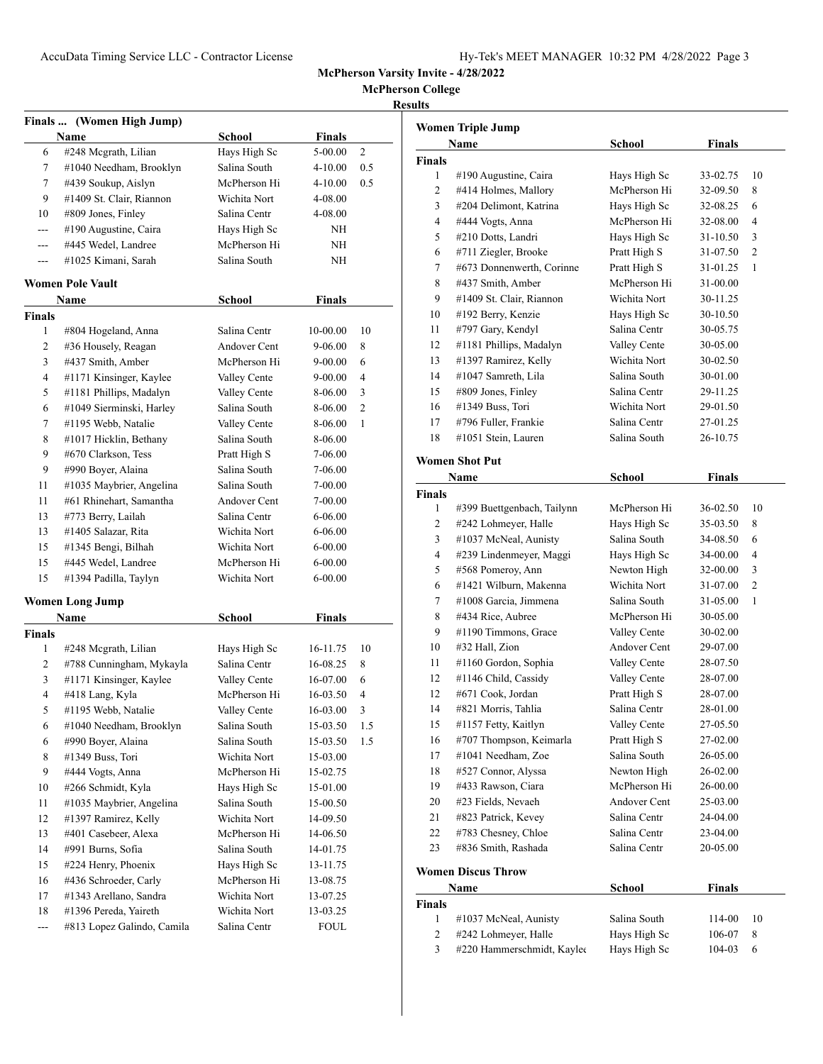**McPherson College**

|--|

|                | Finals  (Women High Jump)  |                              |               |     |
|----------------|----------------------------|------------------------------|---------------|-----|
|                | Name                       | School                       | <b>Finals</b> |     |
| 6              | #248 Mcgrath, Lilian       | Hays High Sc                 | 5-00.00       | 2   |
| 7              | #1040 Needham, Brooklyn    | Salina South                 | 4-10.00       | 0.5 |
| 7              | #439 Soukup, Aislyn        | McPherson Hi                 | 4-10.00       | 0.5 |
| 9              | #1409 St. Clair, Riannon   | Wichita Nort                 | 4-08.00       |     |
| 10             | #809 Jones, Finley         | Salina Centr                 | 4-08.00       |     |
| ---            | #190 Augustine, Caira      | Hays High Sc                 | NΗ            |     |
| $---$          | #445 Wedel, Landree        | McPherson Hi                 | NΗ            |     |
| ---            | #1025 Kimani, Sarah        | Salina South                 | ΝH            |     |
|                | <b>Women Pole Vault</b>    |                              |               |     |
|                | Name                       | <b>School</b>                | <b>Finals</b> |     |
| Finals         |                            |                              |               |     |
| 1              | #804 Hogeland, Anna        | Salina Centr                 | 10-00.00      | 10  |
| $\overline{2}$ | #36 Housely, Reagan        | Andover Cent                 | 9-06.00       | 8   |
| 3              | #437 Smith, Amber          | McPherson Hi                 | 9-00.00       | 6   |
| 4              | #1171 Kinsinger, Kaylee    | Valley Cente                 | 9-00.00       | 4   |
| 5              | #1181 Phillips, Madalyn    | Valley Cente                 | 8-06.00       | 3   |
| 6              | #1049 Sierminski, Harley   | Salina South                 | 8-06.00       | 2   |
| 7              | #1195 Webb, Natalie        | Valley Cente                 | 8-06.00       | 1   |
| 8              | #1017 Hicklin, Bethany     | Salina South                 | 8-06.00       |     |
| 9              | #670 Clarkson, Tess        | Pratt High S                 | 7-06.00       |     |
| 9              | #990 Boyer, Alaina         | Salina South                 | 7-06.00       |     |
| 11             | #1035 Maybrier, Angelina   | Salina South                 | 7-00.00       |     |
| 11             | #61 Rhinehart, Samantha    | Andover Cent                 | 7-00.00       |     |
| 13             | #773 Berry, Lailah         | Salina Centr                 | 6-06.00       |     |
| 13             | #1405 Salazar, Rita        | Wichita Nort                 | 6-06.00       |     |
| 15             | #1345 Bengi, Bilhah        | Wichita Nort                 | 6-00.00       |     |
| 15             | #445 Wedel, Landree        | McPherson Hi                 | $6 - 00.00$   |     |
| 15             | #1394 Padilla, Taylyn      | Wichita Nort                 | 6-00.00       |     |
|                | <b>Women Long Jump</b>     |                              |               |     |
|                | Name                       | <b>School</b>                | <b>Finals</b> |     |
| <b>Finals</b>  |                            |                              |               |     |
| 1              | #248 Mcgrath, Lilian       | Hays High Sc                 | 16-11.75      | 10  |
| 2              | #788 Cunningham, Mykayla   | Salina Centr                 | 16-08.25      | 8   |
| 3              | #1171 Kinsinger, Kaylee    | Valley Cente                 | 16-07.00      | 6   |
| 4              | #418 Lang, Kyla            | McPherson Hi                 | 16-03.50      | 4   |
| 5              | #1195 Webb, Natalie        | Valley Cente                 | 16-03.00      | 3   |
| 6              | #1040 Needham, Brooklyn    | Salina South                 | 15-03.50      | 1.5 |
| 6              | #990 Boyer, Alaina         | Salina South                 | 15-03.50      | 1.5 |
| 8              | #1349 Buss, Tori           | Wichita Nort                 | 15-03.00      |     |
| 9              | #444 Vogts, Anna           | McPherson Hi                 | 15-02.75      |     |
| 10             | #266 Schmidt, Kyla         |                              | 15-01.00      |     |
|                |                            | Hays High Sc<br>Salina South | 15-00.50      |     |
| 11             | #1035 Maybrier, Angelina   |                              |               |     |
| 12             | #1397 Ramirez, Kelly       | Wichita Nort                 | 14-09.50      |     |
| 13             | #401 Casebeer, Alexa       | McPherson Hi                 | 14-06.50      |     |
| 14             | #991 Burns, Sofia          | Salina South                 | 14-01.75      |     |
| 15             | #224 Henry, Phoenix        | Hays High Sc                 | 13-11.75      |     |
| 16             | #436 Schroeder, Carly      | McPherson Hi                 | 13-08.75      |     |
| 17             | #1343 Arellano, Sandra     | Wichita Nort                 | 13-07.25      |     |
| 18             | #1396 Pereda, Yaireth      | Wichita Nort                 | 13-03.25      |     |
| $\overline{a}$ | #813 Lopez Galindo, Camila | Salina Centr                 | <b>FOUL</b>   |     |

|                    | Name                       | <b>School</b> | <b>Finals</b> |    |
|--------------------|----------------------------|---------------|---------------|----|
| <b>Finals</b>      |                            |               |               |    |
| 1                  | #190 Augustine, Caira      | Hays High Sc  | 33-02.75      | 10 |
| 2                  | #414 Holmes, Mallory       | McPherson Hi  | 32-09.50      | 8  |
| 3                  | #204 Delimont, Katrina     | Hays High Sc  | 32-08.25      | 6  |
| 4                  | #444 Vogts, Anna           | McPherson Hi  | 32-08.00      | 4  |
| 5                  | #210 Dotts, Landri         | Hays High Sc  | 31-10.50      | 3  |
| 6                  | #711 Ziegler, Brooke       | Pratt High S  | 31-07.50      | 2  |
| 7                  | #673 Donnenwerth, Corinne  | Pratt High S  | 31-01.25      | 1  |
| 8                  | #437 Smith, Amber          | McPherson Hi  | 31-00.00      |    |
| 9                  | #1409 St. Clair, Riannon   | Wichita Nort  | 30-11.25      |    |
| 10                 | #192 Berry, Kenzie         | Hays High Sc  | 30-10.50      |    |
| 11                 | #797 Gary, Kendyl          | Salina Centr  | 30-05.75      |    |
| 12                 | #1181 Phillips, Madalyn    | Valley Cente  | 30-05.00      |    |
| 13                 | #1397 Ramirez, Kelly       | Wichita Nort  | 30-02.50      |    |
| 14                 | #1047 Samreth, Lila        | Salina South  | 30-01.00      |    |
| 15                 | #809 Jones, Finley         | Salina Centr  | 29-11.25      |    |
| 16                 | #1349 Buss, Tori           | Wichita Nort  | 29-01.50      |    |
| 17                 | #796 Fuller, Frankie       | Salina Centr  | 27-01.25      |    |
| 18                 | #1051 Stein, Lauren        | Salina South  | 26-10.75      |    |
|                    | <b>Women Shot Put</b>      |               |               |    |
|                    |                            |               | <b>Finals</b> |    |
|                    | Name                       | School        |               |    |
| <b>Finals</b><br>1 | #399 Buettgenbach, Tailynn | McPherson Hi  | 36-02.50      | 10 |
| 2                  | #242 Lohmeyer, Halle       | Hays High Sc  | 35-03.50      | 8  |
| 3                  | #1037 McNeal, Aunisty      | Salina South  | 34-08.50      | 6  |
| $\overline{4}$     | #239 Lindenmeyer, Maggi    | Hays High Sc  | 34-00.00      | 4  |
| 5                  | #568 Pomeroy, Ann          | Newton High   | 32-00.00      | 3  |
| 6                  | #1421 Wilburn, Makenna     | Wichita Nort  | 31-07.00      | 2  |
| 7                  | #1008 Garcia, Jimmena      | Salina South  | 31-05.00      | 1  |
| 8                  | #434 Rice, Aubree          | McPherson Hi  | 30-05.00      |    |
| 9                  | #1190 Timmons, Grace       | Valley Cente  | 30-02.00      |    |
| 10                 | #32 Hall, Zion             | Andover Cent  | 29-07.00      |    |
| 11                 | #1160 Gordon, Sophia       | Valley Cente  | 28-07.50      |    |
| 12                 | #1146 Child, Cassidy       | Valley Cente  | 28-07.00      |    |
| 12                 | #671 Cook, Jordan          | Pratt High S  | 28-07.00      |    |
| 14                 | #821 Morris, Tahlia        | Salina Centr  | 28-01.00      |    |
| 15                 | #1157 Fetty, Kaitlyn       | Valley Cente  | 27-05.50      |    |
| 16                 | #707 Thompson, Keimarla    | Pratt High S  | 27-02.00      |    |
| 17                 | #1041 Needham, Zoe         | Salina South  | 26-05.00      |    |
| 18                 | #527 Connor, Alyssa        | Newton High   | 26-02.00      |    |
| 19                 | #433 Rawson, Ciara         | McPherson Hi  | 26-00.00      |    |
| 20                 | #23 Fields, Nevaeh         | Andover Cent  | 25-03.00      |    |
| 21                 | #823 Patrick, Kevey        | Salina Centr  | 24-04.00      |    |
| 22                 | #783 Chesney, Chloe        | Salina Centr  | 23-04.00      |    |
| 23                 | #836 Smith, Rashada        | Salina Centr  | 20-05.00      |    |
|                    |                            |               |               |    |
|                    | <b>Women Discus Throw</b>  |               |               |    |
|                    | <b>Name</b>                | School        | Finals        |    |
| Finals             |                            |               |               |    |
| 1                  | #1037 McNeal, Aunisty      | Salina South  | 114-00        | 10 |
| $\mathbf{2}$       | #242 Lohmeyer, Halle       | Hays High Sc  | 106-07        | 8  |
| 3                  | #220 Hammerschmidt, Kayleo | Hays High Sc  | 104-03        | 6  |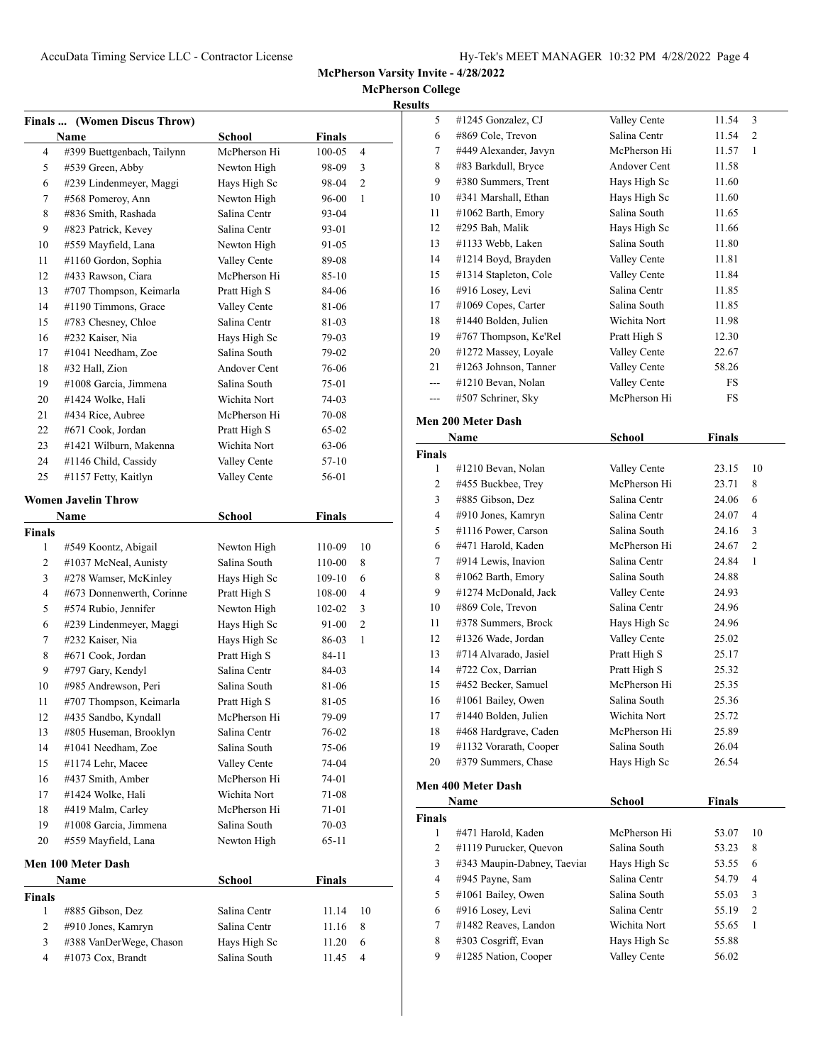**McPherson College Results**

|                | <b>Finals </b> (Women Discus Throw) |               |               |                |
|----------------|-------------------------------------|---------------|---------------|----------------|
|                | Name                                | <b>School</b> | Finals        |                |
| 4              | #399 Buettgenbach, Tailynn          | McPherson Hi  | $100 - 05$    | 4              |
| 5              | #539 Green, Abby                    | Newton High   | 98-09         | 3              |
| 6              | #239 Lindenmeyer, Maggi             | Hays High Sc  | 98-04         | $\overline{c}$ |
| 7              | #568 Pomeroy, Ann                   | Newton High   | 96-00         | 1              |
| 8              | #836 Smith, Rashada                 | Salina Centr  | 93-04         |                |
| 9              | #823 Patrick, Kevey                 | Salina Centr  | 93-01         |                |
| 10             | #559 Mayfield, Lana                 | Newton High   | 91-05         |                |
| 11             | #1160 Gordon, Sophia                | Valley Cente  | 89-08         |                |
| 12             | #433 Rawson, Ciara                  | McPherson Hi  | 85-10         |                |
| 13             | #707 Thompson, Keimarla             | Pratt High S  | 84-06         |                |
| 14             | #1190 Timmons, Grace                | Valley Cente  | 81-06         |                |
| 15             | #783 Chesney, Chloe                 | Salina Centr  | 81-03         |                |
| 16             | #232 Kaiser, Nia                    | Hays High Sc  | 79-03         |                |
| 17             | #1041 Needham, Zoe                  | Salina South  | 79-02         |                |
| 18             | #32 Hall, Zion                      | Andover Cent  | 76-06         |                |
| 19             | #1008 Garcia, Jimmena               | Salina South  | 75-01         |                |
| 20             | #1424 Wolke, Hali                   | Wichita Nort  | 74-03         |                |
| 21             | #434 Rice, Aubree                   | McPherson Hi  | 70-08         |                |
| 22             | #671 Cook, Jordan                   | Pratt High S  | 65-02         |                |
| 23             | #1421 Wilburn, Makenna              | Wichita Nort  | 63-06         |                |
| 24             | #1146 Child, Cassidy                | Valley Cente  | 57-10         |                |
| 25             | #1157 Fetty, Kaitlyn                | Valley Cente  | 56-01         |                |
|                | Women Javelin Throw                 |               |               |                |
|                | Name                                | <b>School</b> | Finals        |                |
| Finals         |                                     |               |               |                |
| 1              | #549 Koontz, Abigail                | Newton High   | 110-09        | 10             |
| 2              | #1037 McNeal, Aunisty               | Salina South  | 110-00        | 8              |
| 3              | #278 Wamser, McKinley               | Hays High Sc  | 109-10        | 6              |
| $\overline{4}$ | #673 Donnenwerth, Corinne           | Pratt High S  | 108-00        | $\overline{4}$ |
| 5              | #574 Rubio, Jennifer                | Newton High   | 102-02        | 3              |
| 6              | #239 Lindenmeyer, Maggi             | Hays High Sc  | 91-00         | $\overline{c}$ |
| 7              | #232 Kaiser, Nia                    | Hays High Sc  | 86-03         | 1              |
| 8              | #671 Cook, Jordan                   | Pratt High S  | 84-11         |                |
| 9              | #797 Gary, Kendyl                   | Salina Centr  | 84-03         |                |
| 10             | #985 Andrewson, Peri                | Salina South  | 81-06         |                |
| 11             | #707 Thompson, Keimarla             | Pratt High S  | 81-05         |                |
| 12             | #435 Sandbo, Kyndall                | McPherson Hi  | 79-09         |                |
| 13             | #805 Huseman, Brooklyn              | Salina Centr  | 76-02         |                |
| 14             | #1041 Needham, Zoe                  | Salina South  | 75-06         |                |
| 15             | #1174 Lehr, Macee                   | Valley Cente  | 74-04         |                |
| 16             | #437 Smith, Amber                   | McPherson Hi  | 74-01         |                |
| 17             | #1424 Wolke, Hali                   | Wichita Nort  | 71-08         |                |
| 18             | #419 Malm, Carley                   | McPherson Hi  | 71-01         |                |
| 19             | #1008 Garcia, Jimmena               | Salina South  | 70-03         |                |
| 20             | #559 Mayfield, Lana                 | Newton High   | 65-11         |                |
|                | Men 100 Meter Dash                  |               |               |                |
|                | Name                                | <b>School</b> | <b>Finals</b> |                |
| Finals         |                                     |               |               |                |
| 1              | #885 Gibson, Dez                    | Salina Centr  | 11.14         | 10             |
| 2              | #910 Jones, Kamryn                  | Salina Centr  | 11.16         | 8              |
| 3              | #388 VanDerWege, Chason             | Hays High Sc  | 11.20         | 6              |
| $\overline{4}$ | #1073 Cox, Brandt                   | Salina South  | 11.45         | 4              |
|                |                                     |               |               |                |

| 5              | #1245 Gonzalez, CJ                          | Valley Cente                 | 11.54          | 3              |
|----------------|---------------------------------------------|------------------------------|----------------|----------------|
| 6              | #869 Cole, Trevon                           | Salina Centr                 | 11.54          | 2              |
| 7              | #449 Alexander, Javyn                       | McPherson Hi                 | 11.57          | 1              |
| 8              | #83 Barkdull, Bryce                         | Andover Cent                 | 11.58          |                |
| 9              | #380 Summers, Trent                         | Hays High Sc                 | 11.60          |                |
| 10             | #341 Marshall, Ethan                        | Hays High Sc                 | 11.60          |                |
| 11             | #1062 Barth, Emory                          | Salina South                 | 11.65          |                |
| 12             | #295 Bah, Malik                             | Hays High Sc                 | 11.66          |                |
| 13             | #1133 Webb, Laken                           | Salina South                 | 11.80          |                |
| 14             | #1214 Boyd, Brayden                         | Valley Cente                 | 11.81          |                |
| 15             | #1314 Stapleton, Cole                       | Valley Cente                 | 11.84          |                |
| 16             | #916 Losey, Levi                            | Salina Centr                 | 11.85          |                |
| 17             | #1069 Copes, Carter                         | Salina South                 | 11.85          |                |
| 18             | #1440 Bolden, Julien                        | Wichita Nort                 | 11.98          |                |
| 19             | #767 Thompson, Ke'Rel                       | Pratt High S                 | 12.30          |                |
| 20             | #1272 Massey, Loyale                        | Valley Cente                 | 22.67          |                |
| 21             | #1263 Johnson, Tanner                       | Valley Cente                 | 58.26          |                |
| $---$          | #1210 Bevan, Nolan                          | Valley Cente                 | FS             |                |
| ---            | #507 Schriner, Sky                          | McPherson Hi                 | FS             |                |
|                |                                             |                              |                |                |
|                | Men 200 Meter Dash                          |                              |                |                |
|                | Name                                        | School                       | <b>Finals</b>  |                |
| <b>Finals</b>  |                                             |                              |                |                |
| 1              | #1210 Bevan, Nolan                          | Valley Cente                 | 23.15          | 10             |
| $\overline{c}$ | #455 Buckbee, Trey                          | McPherson Hi                 | 23.71          | 8              |
| 3              | #885 Gibson, Dez                            | Salina Centr                 | 24.06          | 6              |
| 4              | #910 Jones, Kamryn                          | Salina Centr                 | 24.07          | $\overline{4}$ |
| 5              | #1116 Power, Carson                         | Salina South                 | 24.16          | 3              |
| 6              | #471 Harold, Kaden                          | McPherson Hi                 | 24.67          | 2              |
| 7              | #914 Lewis, Inavion                         | Salina Centr                 | 24.84          | 1              |
| 8              | #1062 Barth, Emory                          | Salina South                 | 24.88          |                |
|                |                                             |                              |                |                |
| 9              | #1274 McDonald, Jack                        | Valley Cente                 | 24.93          |                |
| 10             | #869 Cole, Trevon                           | Salina Centr                 | 24.96          |                |
| 11             | #378 Summers, Brock                         | Hays High Sc                 | 24.96          |                |
| 12             | #1326 Wade, Jordan                          | Valley Cente                 | 25.02          |                |
| 13             | #714 Alvarado, Jasiel                       | Pratt High S                 | 25.17          |                |
| 14             | #722 Cox, Darrian                           | Pratt High S                 | 25.32          |                |
| 15             | #452 Becker, Samuel                         | McPherson Hi                 | 25.35          |                |
| 16             | #1061 Bailey, Owen                          | Salina South                 | 25.36          |                |
| 17             | #1440 Bolden, Julien                        | Wichita Nort                 | 25.72          |                |
| 18             | #468 Hardgrave, Caden                       | McPherson Hi                 | 25.89          |                |
| 19             | #1132 Vorarath, Cooper                      | Salina South                 | 26.04          |                |
| 20             | #379 Summers, Chase                         | Hays High Sc                 | 26.54          |                |
|                |                                             |                              |                |                |
|                | Men 400 Meter Dash                          |                              |                |                |
|                | Name                                        | School                       | <b>Finals</b>  |                |
| Finals         |                                             |                              |                |                |
| 1              | #471 Harold, Kaden                          | McPherson Hi                 | 53.07          | 10             |
| 2              | #1119 Purucker, Quevon                      | Salina South                 | 53.23          | 8              |
| 3              | #343 Maupin-Dabney, Taeviar                 | Hays High Sc                 | 53.55          | 6              |
| 4              | #945 Payne, Sam                             | Salina Centr                 | 54.79          | 4              |
| 5              | #1061 Bailey, Owen                          | Salina South                 | 55.03          | 3              |
| 6              | #916 Losey, Levi                            | Salina Centr                 | 55.19          | 2              |
| 7              | #1482 Reaves, Landon                        | Wichita Nort                 | 55.65          | 1              |
| 8<br>9         | #303 Cosgriff, Evan<br>#1285 Nation, Cooper | Hays High Sc<br>Valley Cente | 55.88<br>56.02 |                |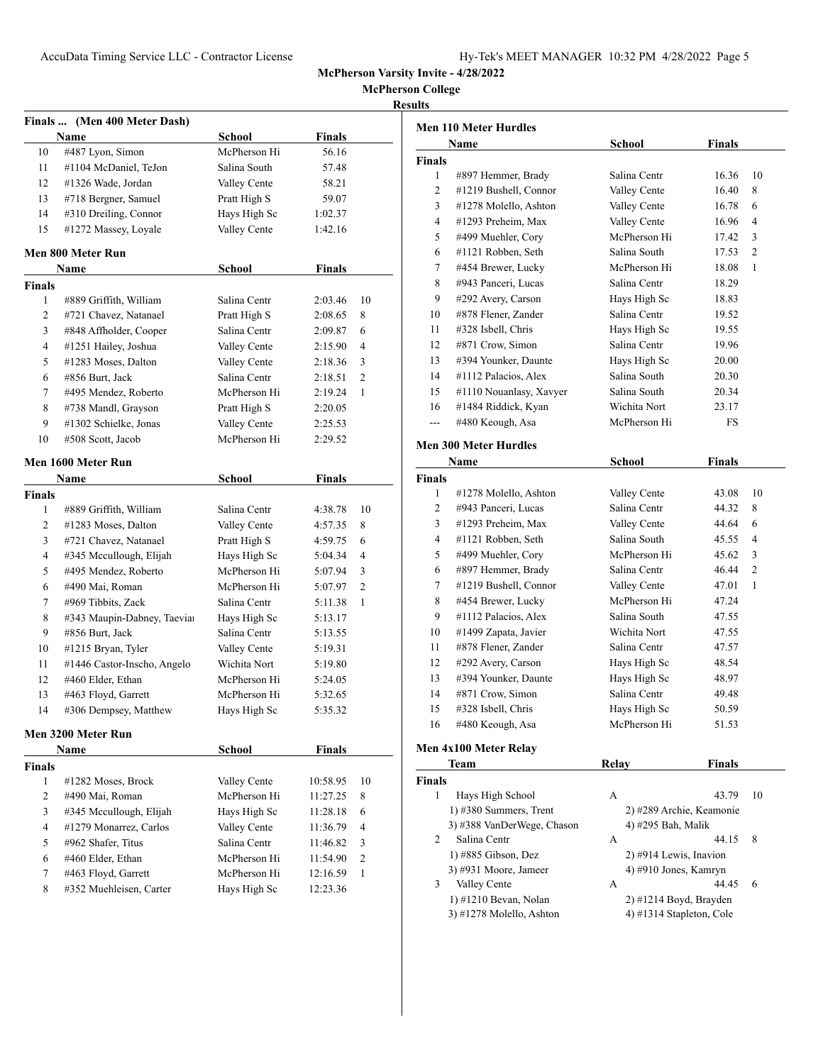| Hy-Tek's MEET MANAGER 10:32 PM 4/28/2022 Page 5 |  |  |  |
|-------------------------------------------------|--|--|--|
|-------------------------------------------------|--|--|--|

**McPherson College Results**

|               | Finals  (Men 400 Meter Dash)<br>Name | School       | <b>Finals</b> |                |
|---------------|--------------------------------------|--------------|---------------|----------------|
| 10            | #487 Lyon, Simon                     | McPherson Hi | 56.16         |                |
| 11            | #1104 McDaniel, TeJon                | Salina South | 57.48         |                |
| 12            | #1326 Wade, Jordan                   | Valley Cente | 58.21         |                |
| 13            | #718 Bergner, Samuel                 | Pratt High S | 59.07         |                |
| 14            | #310 Dreiling, Connor                | Hays High Sc | 1:02.37       |                |
| 15            | #1272 Massey, Loyale                 | Valley Cente | 1:42.16       |                |
|               | Men 800 Meter Run                    |              |               |                |
|               | Name                                 | School       | <b>Finals</b> |                |
| <b>Finals</b> |                                      |              |               |                |
| $\mathbf{1}$  | #889 Griffith, William               | Salina Centr | 2:03.46       | 10             |
| 2             | #721 Chavez, Natanael                | Pratt High S | 2:08.65       | 8              |
| 3             | #848 Affholder, Cooper               | Salina Centr | 2:09.87       | 6              |
| 4             | #1251 Hailey, Joshua                 | Valley Cente | 2:15.90       | 4              |
| 5             | #1283 Moses, Dalton                  | Valley Cente | 2:18.36       | 3              |
| 6             | #856 Burt, Jack                      | Salina Centr | 2:18.51       | $\overline{c}$ |
| 7             | #495 Mendez, Roberto                 | McPherson Hi | 2:19.24       | 1              |
| 8             | #738 Mandl, Grayson                  | Pratt High S | 2:20.05       |                |
| 9             | #1302 Schielke, Jonas                | Valley Cente | 2:25.53       |                |
| 10            | #508 Scott, Jacob                    | McPherson Hi | 2:29.52       |                |
|               | Men 1600 Meter Run                   |              |               |                |
|               | Name                                 | School       | <b>Finals</b> |                |
| <b>Finals</b> |                                      |              |               |                |
| $\mathbf{1}$  | #889 Griffith, William               | Salina Centr | 4:38.78       | 10             |
| 2             | #1283 Moses, Dalton                  | Valley Cente | 4:57.35       | 8              |
| 3             | #721 Chavez, Natanael                | Pratt High S | 4:59.75       | 6              |
| 4             | #345 Mccullough, Elijah              | Hays High Sc | 5:04.34       | $\overline{4}$ |
| 5             | #495 Mendez, Roberto                 | McPherson Hi | 5:07.94       | 3              |
| 6             | #490 Mai, Roman                      | McPherson Hi | 5:07.97       | $\overline{c}$ |
| 7             | #969 Tibbits, Zack                   | Salina Centr | 5:11.38       | 1              |
| 8             | #343 Maupin-Dabney, Taeviar          | Hays High Sc | 5:13.17       |                |
| 9             | #856 Burt, Jack                      | Salina Centr | 5:13.55       |                |
| 10            | #1215 Bryan, Tyler                   | Valley Cente | 5:19.31       |                |
| 11            | #1446 Castor-Inscho, Angelo          | Wichita Nort | 5:19.80       |                |
| 12            | #460 Elder, Ethan                    | McPherson Hi | 5:24.05       |                |
| 13            | #463 Floyd, Garrett                  | McPherson Hi | 5:32.65       |                |
| 14            | #306 Dempsey, Matthew                | Hays High Sc | 5:35.32       |                |
|               | Men 3200 Meter Run                   |              |               |                |
|               | Name                                 | School       | Finals        |                |
| <b>Finals</b> |                                      |              |               |                |
| 1             | #1282 Moses, Brock                   | Valley Cente | 10:58.95      | 10             |
| 2             | #490 Mai, Roman                      | McPherson Hi | 11:27.25      | 8              |
| 3             | #345 Mccullough, Elijah              | Hays High Sc | 11:28.18      | 6              |
| 4             | #1279 Monarrez, Carlos               | Valley Cente | 11:36.79      | 4              |
| 5             | #962 Shafer, Titus                   | Salina Centr | 11:46.82      | 3              |
| 6             | #460 Elder, Ethan                    | McPherson Hi | 11:54.90      | $\overline{c}$ |
| 7             | #463 Floyd, Garrett                  | McPherson Hi | 12:16.59      | 1              |
| 8             | #352 Muehleisen, Carter              | Hays High Sc | 12:23.36      |                |
|               |                                      |              |               |                |
|               |                                      |              |               |                |

|                | Men 110 Meter Hurdles        |               |               |                |
|----------------|------------------------------|---------------|---------------|----------------|
|                | <b>Name</b>                  | School        | Finals        |                |
| <b>Finals</b>  |                              |               |               |                |
| 1              | #897 Hemmer, Brady           | Salina Centr  | 16.36         | 10             |
| $\overline{2}$ | #1219 Bushell, Connor        | Valley Cente  | 16.40         | 8              |
| 3              | #1278 Molello, Ashton        | Valley Cente  | 16.78         | 6              |
| $\overline{4}$ | #1293 Preheim, Max           | Valley Cente  | 16.96         | 4              |
| 5              | #499 Muehler, Cory           | McPherson Hi  | 17.42         | 3              |
| 6              | #1121 Robben, Seth           | Salina South  | 17.53         | $\overline{c}$ |
| $\tau$         | #454 Brewer, Lucky           | McPherson Hi  | 18.08         | 1              |
| 8              | #943 Panceri, Lucas          | Salina Centr  | 18.29         |                |
| 9              | #292 Avery, Carson           | Hays High Sc  | 18.83         |                |
| 10             | #878 Flener, Zander          | Salina Centr  | 19.52         |                |
| 11             | #328 Isbell, Chris           | Hays High Sc  | 19.55         |                |
| 12             | #871 Crow, Simon             | Salina Centr  | 19.96         |                |
| 13             | #394 Younker, Daunte         | Hays High Sc  | 20.00         |                |
| 14             | #1112 Palacios, Alex         | Salina South  | 20.30         |                |
| 15             | #1110 Nouanlasy, Xavyer      | Salina South  | 20.34         |                |
| 16             | #1484 Riddick, Kyan          | Wichita Nort  | 23.17         |                |
| $---$          | #480 Keough, Asa             | McPherson Hi  | FS            |                |
|                | <b>Men 300 Meter Hurdles</b> |               |               |                |
|                | Name                         | <b>School</b> | Finals        |                |
| <b>Finals</b>  |                              |               |               |                |
| 1              | #1278 Molello, Ashton        | Valley Cente  | 43.08         | 10             |
| $\overline{2}$ | #943 Panceri, Lucas          | Salina Centr  | 44.32         | 8              |
| 3              | #1293 Preheim, Max           | Valley Cente  | 44.64         | 6              |
| $\overline{4}$ | #1121 Robben, Seth           | Salina South  | 45.55         | 4              |
| 5              | #499 Muehler, Cory           | McPherson Hi  | 45.62         | 3              |
| 6              | #897 Hemmer, Brady           | Salina Centr  | 46.44         | $\overline{2}$ |
| 7              | #1219 Bushell, Connor        | Valley Cente  | 47.01         | 1              |
| 8              | #454 Brewer, Lucky           | McPherson Hi  | 47.24         |                |
| 9              | #1112 Palacios, Alex         | Salina South  | 47.55         |                |
| 10             | #1499 Zapata, Javier         | Wichita Nort  | 47.55         |                |
| 11             | #878 Flener, Zander          | Salina Centr  | 47.57         |                |
| 12             | #292 Avery, Carson           | Hays High Sc  | 48.54         |                |
| 13             | #394 Younker, Daunte         | Hays High Sc  | 48.97         |                |
| 14             | #871 Crow, Simon             | Salina Centr  | 49.48         |                |
| 15             | #328 Isbell, Chris           | Hays High Sc  | 50.59         |                |
| 16             | #480 Keough, Asa             | McPherson Hi  | 51.53         |                |
|                | Men 4x100 Meter Relay        |               |               |                |
|                | Team                         | Relay         | <b>Finals</b> |                |
| <b>Finals</b>  |                              |               |               |                |

| als            |                            |   |                          |    |
|----------------|----------------------------|---|--------------------------|----|
| $\mathbf{1}$   | Hays High School           | A | 43.79                    | 10 |
|                | $1)$ #380 Summers, Trent   |   | 2) #289 Archie, Keamonie |    |
|                | 3) #388 VanDerWege, Chason |   | 4) #295 Bah, Malik       |    |
| $\mathfrak{D}$ | Salina Centr               | A | 44.15                    | -8 |
|                | $1)$ #885 Gibson, Dez      |   | 2) #914 Lewis, Inavion   |    |
|                | 3) #931 Moore, Jameer      |   | 4) $\#910$ Jones, Kamryn |    |
| 3              | Valley Cente               | A | 44.45                    | 6  |
|                | 1) #1210 Bevan, Nolan      |   | $2)$ #1214 Boyd, Brayden |    |
|                | 3) #1278 Molello, Ashton   |   | 4) #1314 Stapleton, Cole |    |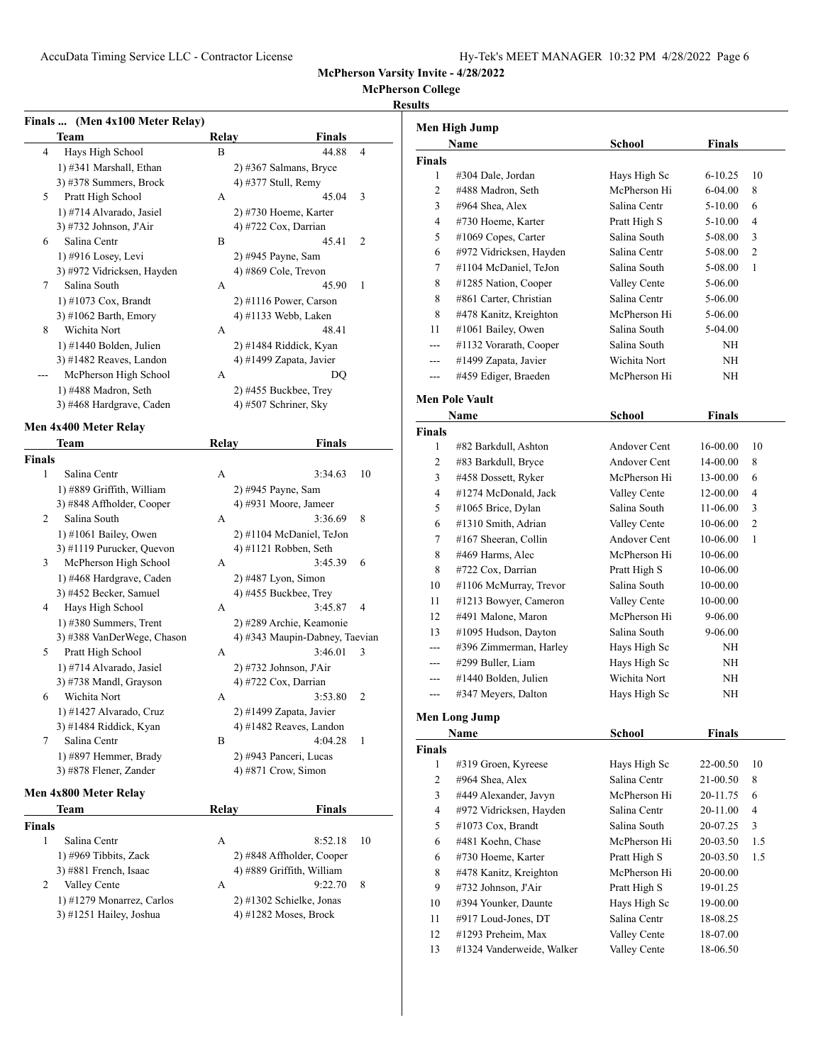**Name School Finals**

**McPherson Varsity Invite - 4/28/2022**

#### **McPherson College**

#### **Results**

**Men High Jump**

|        | Finals  (Men 4x100 Meter Relay) |              |                                |    |
|--------|---------------------------------|--------------|--------------------------------|----|
|        | Team                            | <b>Relay</b> | Finals                         |    |
| 4      | Hays High School                | В            | 44.88                          | 4  |
|        | 1) #341 Marshall, Ethan         |              | 2) #367 Salmans, Bryce         |    |
|        | 3) #378 Summers, Brock          |              | 4) #377 Stull, Remy            |    |
| 5      | Pratt High School               | А            | 45.04                          | 3  |
|        | 1) #714 Alvarado, Jasiel        |              | 2) #730 Hoeme, Karter          |    |
|        | 3) #732 Johnson, J'Air          |              | 4) #722 Cox, Darrian           |    |
| 6      | Salina Centr                    | B            | 45.41                          | 2  |
|        | 1) #916 Losey, Levi             |              | 2) #945 Payne, Sam             |    |
|        | 3) #972 Vidricksen, Hayden      |              | 4) #869 Cole, Trevon           |    |
| 7      | Salina South                    | А            | 45.90                          | 1  |
|        | $1)$ #1073 Cox, Brandt          |              | 2) #1116 Power, Carson         |    |
|        | 3) #1062 Barth, Emory           |              | 4) #1133 Webb, Laken           |    |
| 8      | Wichita Nort                    | A            | 48.41                          |    |
|        | $1)$ #1440 Bolden, Julien       |              | 2) #1484 Riddick, Kyan         |    |
|        | 3) #1482 Reaves, Landon         |              | 4) #1499 Zapata, Javier        |    |
|        | McPherson High School           | A            | DQ                             |    |
|        |                                 |              | 2) #455 Buckbee, Trey          |    |
|        | 1) #488 Madron, Seth            |              | 4) #507 Schriner, Sky          |    |
|        | 3) #468 Hardgrave, Caden        |              |                                |    |
|        | Men 4x400 Meter Relay           |              |                                |    |
|        | Team                            | Relay        | Finals                         |    |
| Finals |                                 |              |                                |    |
| 1      | Salina Centr                    | А            | 3:34.63                        | 10 |
|        | 1) #889 Griffith, William       |              | 2) #945 Payne, Sam             |    |
|        | 3) #848 Affholder, Cooper       |              | 4) #931 Moore, Jameer          |    |
| 2      | Salina South                    | А            | 3:36.69                        | 8  |
|        | $1)$ #1061 Bailey, Owen         |              | 2) #1104 McDaniel, TeJon       |    |
|        | 3) #1119 Purucker, Quevon       |              | 4) #1121 Robben, Seth          |    |
| 3      | McPherson High School           | A            | 3:45.39                        | 6  |
|        | 1) #468 Hardgrave, Caden        |              | $2)$ #487 Lyon, Simon          |    |
|        | 3) #452 Becker, Samuel          |              | 4) #455 Buckbee, Trey          |    |
| 4      | Hays High School                | А            | 3:45.87                        | 4  |
|        | 1) #380 Summers, Trent          |              | 2) #289 Archie, Keamonie       |    |
|        | 3) #388 VanDerWege, Chason      |              | 4) #343 Maupin-Dabney, Taevian |    |
| 5      | Pratt High School               | A            | 3:46.01                        | 3  |
|        | 1) #714 Alvarado, Jasiel        |              | 2) #732 Johnson, J'Air         |    |
|        | 3) #738 Mandl, Grayson          |              | 4) #722 Cox, Darrian           |    |
| 6      | Wichita Nort                    |              |                                | 2  |
|        |                                 | А            | 3:53.80                        |    |
|        | 1) #1427 Alvarado, Cruz         |              | 2) #1499 Zapata, Javier        |    |
|        | 3) #1484 Riddick, Kyan          |              | 4) #1482 Reaves, Landon        |    |
| 7      | Salina Centr                    | B            | 4:04.28                        | 1  |
|        | 1) #897 Hemmer, Brady           |              | 2) #943 Panceri, Lucas         |    |
|        | 3) #878 Flener, Zander          |              | 4) #871 Crow, Simon            |    |
|        | Men 4x800 Meter Relay           |              |                                |    |
|        | Team                            | Relay        | Finals                         |    |
| Finals |                                 |              |                                |    |
| 1      | Salina Centr                    | А            | 8:52.18                        | 10 |
|        | 1) #969 Tibbits, Zack           |              | 2) #848 Affholder, Cooper      |    |
|        | 3) #881 French, Isaac           |              | 4) #889 Griffith, William      |    |
| 2      | Valley Cente                    | Α            | 9:22.70                        | 8  |
|        |                                 |              |                                |    |

1) #1279 Monarrez, Carlos 2) #1302 Schielke, Jonas 3) #1251 Hailey, Joshua 4) #1282 Moses, Brock

| <b>Finals</b> |                         |              |               |                |
|---------------|-------------------------|--------------|---------------|----------------|
| 1             | #304 Dale, Jordan       | Hays High Sc | $6 - 10.25$   | 10             |
| 2             | #488 Madron, Seth       | McPherson Hi | 6-04.00       | 8              |
| 3             | #964 Shea, Alex         | Salina Centr | 5-10.00       | 6              |
| 4             | #730 Hoeme, Karter      | Pratt High S | 5-10.00       | 4              |
| 5             | $#1069$ Copes, Carter   | Salina South | 5-08.00       | 3              |
| 6             | #972 Vidricksen, Hayden | Salina Centr | 5-08.00       | 2              |
| 7             | #1104 McDaniel, TeJon   | Salina South | 5-08.00       | 1              |
| 8             | #1285 Nation, Cooper    | Valley Cente | 5-06.00       |                |
| 8             | #861 Carter, Christian  | Salina Centr | 5-06.00       |                |
| 8             | #478 Kanitz, Kreighton  | McPherson Hi | 5-06.00       |                |
| 11            | #1061 Bailey, Owen      | Salina South | 5-04.00       |                |
| ---           | #1132 Vorarath, Cooper  | Salina South | NH            |                |
| ---           | #1499 Zapata, Javier    | Wichita Nort | NH            |                |
| ---           | #459 Ediger, Braeden    | McPherson Hi | NH            |                |
|               | <b>Men Pole Vault</b>   |              |               |                |
|               | Name                    | School       | <b>Finals</b> |                |
| <b>Finals</b> |                         |              |               |                |
| 1             | #82 Barkdull, Ashton    | Andover Cent | 16-00.00      | 10             |
| 2             | #83 Barkdull, Bryce     | Andover Cent | 14-00.00      | 8              |
| 3             | #458 Dossett, Ryker     | McPherson Hi | 13-00.00      | 6              |
| 4             | #1274 McDonald, Jack    | Valley Cente | 12-00.00      | 4              |
| 5             | #1065 Brice, Dylan      | Salina South | 11-06.00      | 3              |
| 6             | #1310 Smith, Adrian     | Valley Cente | $10-06.00$    | $\overline{c}$ |
| 7             | #167 Sheeran, Collin    | Andover Cent | 10-06.00      | 1              |
| 8             | #469 Harms, Alec        | McPherson Hi | 10-06.00      |                |
| 8             | #722 Cox, Darrian       | Pratt High S | 10-06.00      |                |
| 10            | #1106 McMurray, Trevor  | Salina South | 10-00.00      |                |
| 11            | #1213 Bowyer, Cameron   | Valley Cente | 10-00.00      |                |
| 12            | #491 Malone, Maron      | McPherson Hi | 9-06.00       |                |
| 13            | #1095 Hudson, Dayton    | Salina South | 9-06.00       |                |
| $-$ --        | #396 Zimmerman, Harley  | Hays High Sc | NH            |                |
| $-$           | #299 Buller, Liam       | Hays High Sc | NH            |                |
| ---           | #1440 Bolden, Julien    | Wichita Nort | NH            |                |
| ---           | #347 Meyers, Dalton     | Hays High Sc | NH            |                |
|               | Men Long Jump           |              |               |                |
|               | Name                    | School       | <b>Finals</b> |                |
| Finals        |                         |              |               |                |
| 1             | #319 Groen, Kyreese     | Hays High Sc | 22-00.50      | 10             |
| $\mathbf{2}$  | #964 Shea, Alex         | Salina Centr | 21-00.50      | 8              |
| 3             | #449 Alexander, Javyn   | McPherson Hi | 20-11.75      | 6              |
| 4             | #972 Vidricksen, Hayden | Salina Centr | 20-11.00      | 4              |
| 5             | #1073 Cox, Brandt       | Salina South | 20-07.25      | 3              |
| 6             | #481 Koehn, Chase       | McPherson Hi | 20-03.50      | 1.5            |
| 6             | #730 Hoeme, Karter      | Pratt High S | 20-03.50      | 1.5            |
| 8             | #478 Kanitz, Kreighton  | McPherson Hi | 20-00.00      |                |

 #732 Johnson, J'Air Pratt High S 19-01.25 #394 Younker, Daunte Hays High Sc 19-00.00 #917 Loud-Jones, DT Salina Centr 18-08.25 #1293 Preheim, Max Valley Cente 18-07.00 #1324 Vanderweide, Walker Valley Cente 18-06.50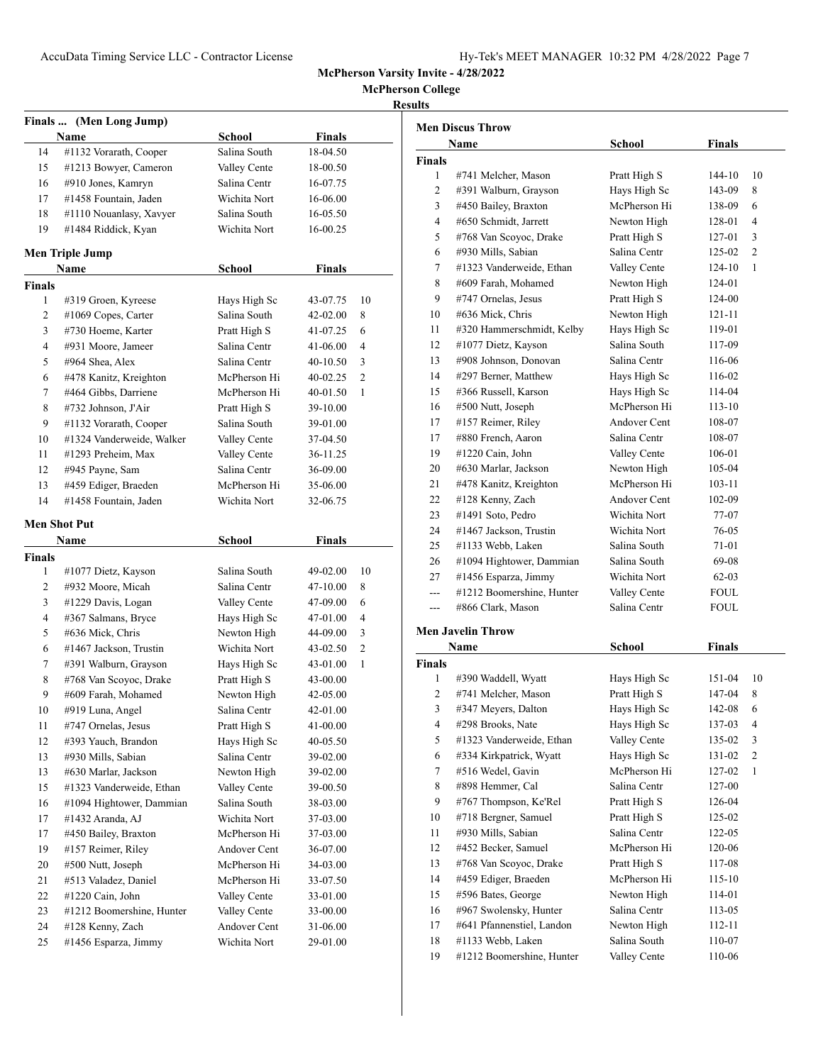**McPherson College**

# **Results**

|             | Finals  (Men Long Jump)   |               |               |                |
|-------------|---------------------------|---------------|---------------|----------------|
|             | Name                      | School        | <b>Finals</b> |                |
| 14          | #1132 Vorarath, Cooper    | Salina South  | 18-04.50      |                |
| 15          | #1213 Bowyer, Cameron     | Valley Cente  | 18-00.50      |                |
| 16          | #910 Jones, Kamryn        | Salina Centr  | 16-07.75      |                |
| 17          | #1458 Fountain, Jaden     | Wichita Nort  | 16-06.00      |                |
| 18          | #1110 Nouanlasy, Xavyer   | Salina South  | 16-05.50      |                |
| 19          | #1484 Riddick, Kyan       | Wichita Nort  | 16-00.25      |                |
|             | Men Triple Jump           |               |               |                |
|             | Name                      | <b>School</b> | <b>Finals</b> |                |
| Finals      |                           |               |               |                |
| 1           | #319 Groen, Kyreese       | Hays High Sc  | 43-07.75      | 10             |
| 2           | #1069 Copes, Carter       | Salina South  | 42-02.00      | 8              |
| 3           | #730 Hoeme, Karter        | Pratt High S  | 41-07.25      | 6              |
| 4           | #931 Moore, Jameer        | Salina Centr  | 41-06.00      | $\overline{4}$ |
| 5           | #964 Shea, Alex           | Salina Centr  | 40-10.50      | 3              |
| 6           | #478 Kanitz, Kreighton    | McPherson Hi  | 40-02.25      | 2              |
| 7           | #464 Gibbs, Darriene      | McPherson Hi  | 40-01.50      | 1              |
| 8           | #732 Johnson, J'Air       | Pratt High S  | 39-10.00      |                |
| 9           | #1132 Vorarath, Cooper    | Salina South  | 39-01.00      |                |
| 10          | #1324 Vanderweide, Walker | Valley Cente  | 37-04.50      |                |
| 11          | #1293 Preheim, Max        | Valley Cente  | 36-11.25      |                |
| 12          | #945 Payne, Sam           | Salina Centr  | 36-09.00      |                |
| 13          | #459 Ediger, Braeden      | McPherson Hi  | 35-06.00      |                |
| 14          | #1458 Fountain, Jaden     | Wichita Nort  | 32-06.75      |                |
|             |                           |               |               |                |
|             | Men Shot Put              |               |               |                |
|             | Name                      | <b>School</b> | Finals        |                |
| Finals<br>1 | #1077 Dietz, Kayson       | Salina South  | 49-02.00      | 10             |
| 2           | #932 Moore, Micah         | Salina Centr  | 47-10.00      | 8              |
| 3           | #1229 Davis, Logan        | Valley Cente  | 47-09.00      | 6              |
| 4           | #367 Salmans, Bryce       | Hays High Sc  | 47-01.00      | 4              |
| 5           | #636 Mick, Chris          | Newton High   | 44-09.00      | 3              |
| 6           | #1467 Jackson, Trustin    | Wichita Nort  | 43-02.50      | 2              |
| 7           | #391 Walburn, Grayson     | Hays High Sc  | 43-01.00      | 1              |
| 8           | #768 Van Scoyoc, Drake    | Pratt High S  | 43-00.00      |                |
| 9           | #609 Farah, Mohamed       | Newton High   | 42-05.00      |                |
| 10          | #919 Luna, Angel          | Salina Centr  | 42-01.00      |                |
| 11          | #747 Ornelas, Jesus       | Pratt High S  | 41-00.00      |                |
| 12          | #393 Yauch, Brandon       | Hays High Sc  | 40-05.50      |                |
| 13          | #930 Mills, Sabian        | Salina Centr  | 39-02.00      |                |
| 13          | #630 Marlar, Jackson      | Newton High   | 39-02.00      |                |
| 15          | #1323 Vanderweide, Ethan  | Valley Cente  | 39-00.50      |                |
| 16          | #1094 Hightower, Dammian  | Salina South  | 38-03.00      |                |
| 17          | #1432 Aranda, AJ          | Wichita Nort  | 37-03.00      |                |
| 17          | #450 Bailey, Braxton      | McPherson Hi  | 37-03.00      |                |
| 19          | #157 Reimer, Riley        | Andover Cent  | 36-07.00      |                |
| 20          | #500 Nutt, Joseph         | McPherson Hi  | 34-03.00      |                |
| 21          | #513 Valadez, Daniel      | McPherson Hi  | 33-07.50      |                |
| 22          | #1220 Cain, John          | Valley Cente  | 33-01.00      |                |
| 23          | #1212 Boomershine, Hunter | Valley Cente  | 33-00.00      |                |
| 24          |                           | Andover Cent  |               |                |
|             | #128 Kenny, Zach          |               | 31-06.00      |                |
| 25          | #1456 Esparza, Jimmy      | Wichita Nort  | 29-01.00      |                |

| <b>Men Discus Throw</b> |                           |               |               |    |  |  |
|-------------------------|---------------------------|---------------|---------------|----|--|--|
| Name                    |                           | <b>School</b> | <b>Finals</b> |    |  |  |
| <b>Finals</b>           |                           |               |               |    |  |  |
| 1                       | #741 Melcher, Mason       | Pratt High S  | 144-10        | 10 |  |  |
| 2                       | #391 Walburn, Grayson     | Hays High Sc  | 143-09        | 8  |  |  |
| 3                       | #450 Bailey, Braxton      | McPherson Hi  | 138-09        | 6  |  |  |
| 4                       | #650 Schmidt, Jarrett     | Newton High   | 128-01        | 4  |  |  |
| 5                       | #768 Van Scoyoc, Drake    | Pratt High S  | 127-01        | 3  |  |  |
| 6                       | #930 Mills, Sabian        | Salina Centr  | 125-02        | 2  |  |  |
| 7                       | #1323 Vanderweide, Ethan  | Valley Cente  | 124-10        | 1  |  |  |
| 8                       | #609 Farah, Mohamed       | Newton High   | 124-01        |    |  |  |
| 9                       | #747 Ornelas, Jesus       | Pratt High S  | 124-00        |    |  |  |
| 10                      | #636 Mick, Chris          | Newton High   | 121-11        |    |  |  |
| 11                      | #320 Hammerschmidt, Kelby | Hays High Sc  | 119-01        |    |  |  |
| 12                      | #1077 Dietz, Kayson       | Salina South  | 117-09        |    |  |  |
| 13                      | #908 Johnson, Donovan     | Salina Centr  | 116-06        |    |  |  |
| 14                      | #297 Berner, Matthew      | Hays High Sc  | 116-02        |    |  |  |
| 15                      | #366 Russell, Karson      | Hays High Sc  | 114-04        |    |  |  |
| 16                      | #500 Nutt, Joseph         | McPherson Hi  | 113-10        |    |  |  |
| 17                      | #157 Reimer, Riley        | Andover Cent  | 108-07        |    |  |  |
| 17                      | #880 French, Aaron        | Salina Centr  | 108-07        |    |  |  |
| 19                      | $#1220$ Cain, John        | Valley Cente  | 106-01        |    |  |  |
| 20                      | #630 Marlar, Jackson      | Newton High   | 105-04        |    |  |  |
| 21                      | #478 Kanitz, Kreighton    | McPherson Hi  | 103-11        |    |  |  |
| 22                      | #128 Kenny, Zach          | Andover Cent  | 102-09        |    |  |  |
| 23                      | #1491 Soto, Pedro         | Wichita Nort  | 77-07         |    |  |  |
| 24                      | #1467 Jackson, Trustin    | Wichita Nort  | 76-05         |    |  |  |
| 25                      | #1133 Webb, Laken         | Salina South  | 71-01         |    |  |  |
| 26                      | #1094 Hightower, Dammian  | Salina South  | 69-08         |    |  |  |
| 27                      | #1456 Esparza, Jimmy      | Wichita Nort  | $62-03$       |    |  |  |
| ---                     | #1212 Boomershine, Hunter | Valley Cente  | FOUL          |    |  |  |
| ---                     | #866 Clark, Mason         | Salina Centr  | <b>FOUL</b>   |    |  |  |
|                         | <b>Men Javelin Throw</b>  |               |               |    |  |  |
|                         | Name                      | School        | <b>Finals</b> |    |  |  |
| <b>Finals</b>           |                           |               |               |    |  |  |
| 1                       | #390 Waddell, Wyatt       | Hays High Sc  | 151-04        | 10 |  |  |
| 2                       | #741 Melcher, Mason       | Pratt High S  | 147-04        | 8  |  |  |
| 3                       | #347 Meyers, Dalton       | Hays High Sc  | 142-08        | 6  |  |  |

| л. | $\pi$ <i>J J Waddull</i> , <i>Wyan</i> | ттауз тиgн эс | 151-VT | ιv |
|----|----------------------------------------|---------------|--------|----|
| 2  | #741 Melcher, Mason                    | Pratt High S  | 147-04 | 8  |
| 3  | #347 Meyers, Dalton                    | Hays High Sc  | 142-08 | 6  |
| 4  | #298 Brooks, Nate                      | Hays High Sc  | 137-03 | 4  |
| 5  | #1323 Vanderweide, Ethan               | Valley Cente  | 135-02 | 3  |
| 6  | #334 Kirkpatrick, Wyatt                | Hays High Sc  | 131-02 | 2  |
| 7  | #516 Wedel, Gavin                      | McPherson Hi  | 127-02 | 1  |
| 8  | #898 Hemmer, Cal                       | Salina Centr  | 127-00 |    |
| 9  | #767 Thompson, Ke'Rel                  | Pratt High S  | 126-04 |    |
| 10 | #718 Bergner, Samuel                   | Pratt High S  | 125-02 |    |
| 11 | #930 Mills, Sabian                     | Salina Centr  | 122-05 |    |
| 12 | #452 Becker, Samuel                    | McPherson Hi  | 120-06 |    |
| 13 | #768 Van Scoyoc, Drake                 | Pratt High S  | 117-08 |    |
| 14 | #459 Ediger, Braeden                   | McPherson Hi  | 115-10 |    |
| 15 | #596 Bates, George                     | Newton High   | 114-01 |    |
| 16 | #967 Swolensky, Hunter                 | Salina Centr  | 113-05 |    |
| 17 | #641 Pfannenstiel, Landon              | Newton High   | 112-11 |    |
| 18 | #1133 Webb, Laken                      | Salina South  | 110-07 |    |
| 19 | #1212 Boomershine, Hunter              | Valley Cente  | 110-06 |    |